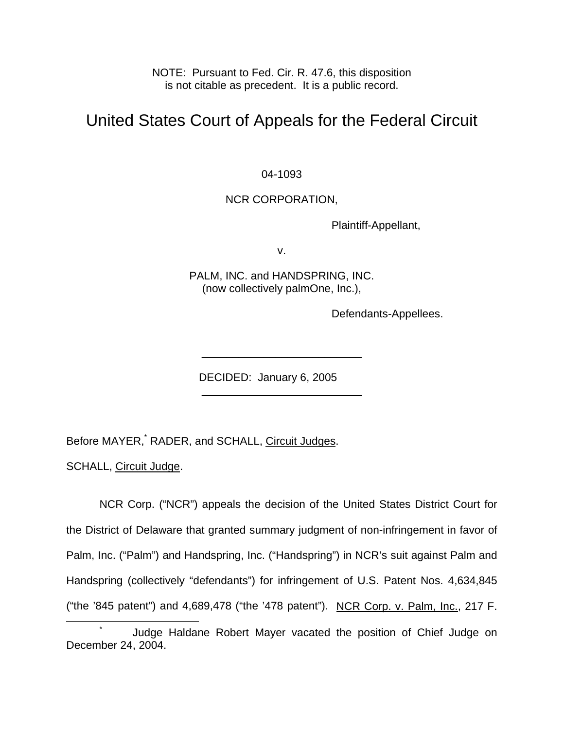NOTE: Pursuant to Fed. Cir. R. 47.6, this disposition is not citable as precedent. It is a public record.

# United States Court of Appeals for the Federal Circuit

04-1093

# NCR CORPORATION,

Plaintiff-Appellant,

v.

PALM, INC. and HANDSPRING, INC. (now collectively palmOne, Inc.),

 $\overline{\phantom{a}}$  , where  $\overline{\phantom{a}}$  , where  $\overline{\phantom{a}}$  , where  $\overline{\phantom{a}}$ 

\_\_\_\_\_\_\_\_\_\_\_\_\_\_\_\_\_\_\_\_\_\_\_\_\_\_

Defendants-Appellees.

DECIDED: January 6, 2005

BeforeMAYER, RADER, and SCHALL, Circuit Judges.

SCHALL, Circuit Judge.

NCR Corp. ("NCR") appeals the decision of the United States District Court for the District of Delaware that granted summary judgment of non-infringement in favor of Palm, Inc. ("Palm") and Handspring, Inc. ("Handspring") in NCR's suit against Palm and Handspring (collectively "defendants") for infringement of U.S. Patent Nos. 4,634,845 ("the '845 patent") and 4,689,478 ("the '478 patent"). NCR Corp. v. Palm, Inc., 217 F.

<span id="page-0-0"></span> $\overline{\phantom{a}}$  Judge Haldane Robert Mayer vacated the position of Chief Judge on December 24, 2004.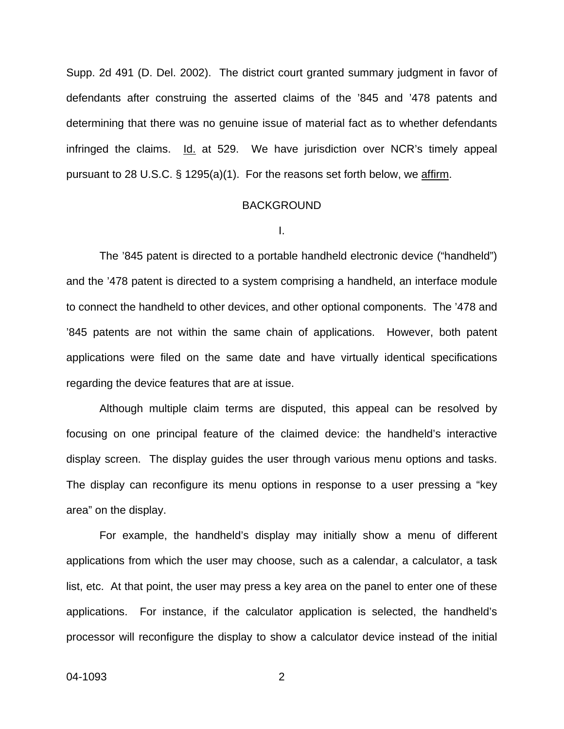Supp. 2d 491 (D. Del. 2002). The district court granted summary judgment in favor of defendants after construing the asserted claims of the '845 and '478 patents and determining that there was no genuine issue of material fact as to whether defendants infringed the claims. Id. at 529. We have jurisdiction over NCR's timely appeal pursuant to 28 U.S.C. § 1295(a)(1). For the reasons set forth below, we affirm.

### BACKGROUND

I.

The '845 patent is directed to a portable handheld electronic device ("handheld") and the '478 patent is directed to a system comprising a handheld, an interface module to connect the handheld to other devices, and other optional components. The '478 and '845 patents are not within the same chain of applications. However, both patent applications were filed on the same date and have virtually identical specifications regarding the device features that are at issue.

Although multiple claim terms are disputed, this appeal can be resolved by focusing on one principal feature of the claimed device: the handheld's interactive display screen. The display guides the user through various menu options and tasks. The display can reconfigure its menu options in response to a user pressing a "key area" on the display.

For example, the handheld's display may initially show a menu of different applications from which the user may choose, such as a calendar, a calculator, a task list, etc. At that point, the user may press a key area on the panel to enter one of these applications. For instance, if the calculator application is selected, the handheld's processor will reconfigure the display to show a calculator device instead of the initial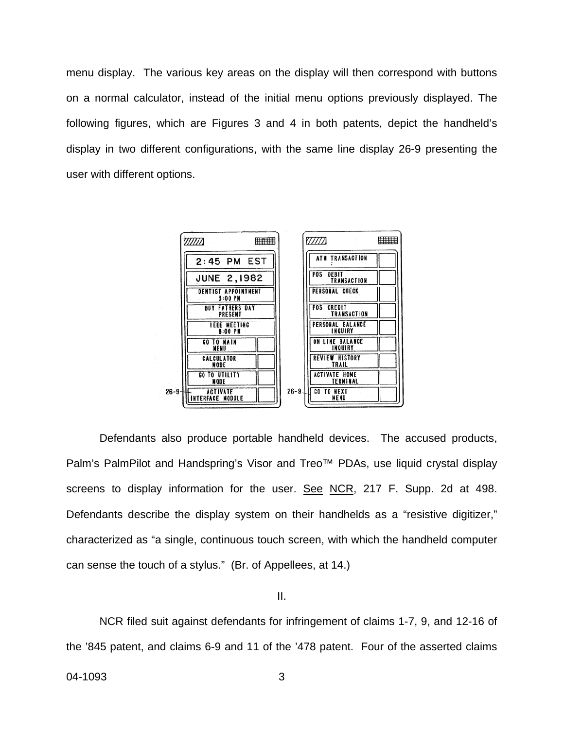menu display. The various key areas on the display will then correspond with buttons on a normal calculator, instead of the initial menu options previously displayed. The following figures, which are Figures 3 and 4 in both patents, depict the handheld's display in two different configurations, with the same line display 26-9 presenting the user with different options.



Defendants also produce portable handheld devices. The accused products, Palm's PalmPilot and Handspring's Visor and Treo™ PDAs, use liquid crystal display screens to display information for the user. See NCR, 217 F. Supp. 2d at 498. Defendants describe the display system on their handhelds as a "resistive digitizer," characterized as "a single, continuous touch screen, with which the handheld computer can sense the touch of a stylus." (Br. of Appellees, at 14.)

II.

 NCR filed suit against defendants for infringement of claims 1-7, 9, and 12-16 of the '845 patent, and claims 6-9 and 11 of the '478 patent. Four of the asserted claims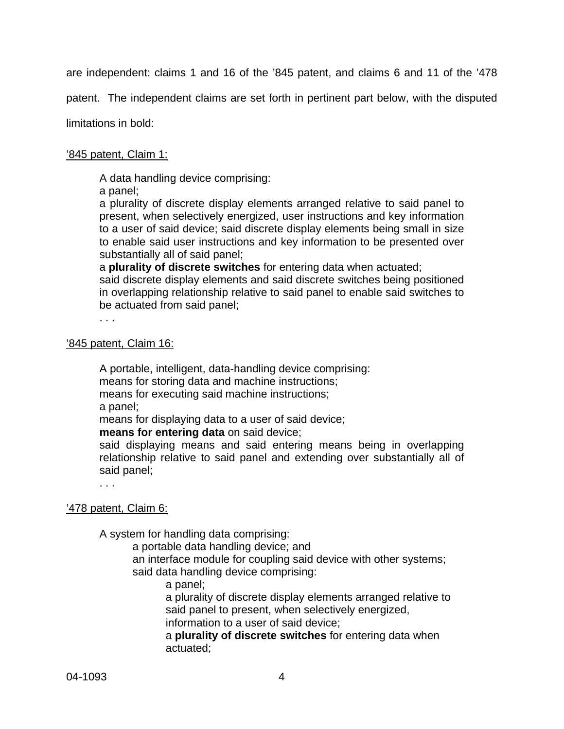are independent: claims 1 and 16 of the '845 patent, and claims 6 and 11 of the '478

patent. The independent claims are set forth in pertinent part below, with the disputed

limitations in bold:

## '845 patent, Claim 1:

A data handling device comprising:

a panel;

a plurality of discrete display elements arranged relative to said panel to present, when selectively energized, user instructions and key information to a user of said device; said discrete display elements being small in size to enable said user instructions and key information to be presented over substantially all of said panel;

a **plurality of discrete switches** for entering data when actuated;

said discrete display elements and said discrete switches being positioned in overlapping relationship relative to said panel to enable said switches to be actuated from said panel;

. . .

# '845 patent, Claim 16:

A portable, intelligent, data-handling device comprising: means for storing data and machine instructions; means for executing said machine instructions;

a panel;

means for displaying data to a user of said device;

**means for entering data** on said device;

said displaying means and said entering means being in overlapping relationship relative to said panel and extending over substantially all of said panel;

. . .

## '478 patent, Claim 6:

A system for handling data comprising:

a portable data handling device; and

an interface module for coupling said device with other systems; said data handling device comprising:

a panel;

a plurality of discrete display elements arranged relative to said panel to present, when selectively energized, information to a user of said device;

 a **plurality of discrete switches** for entering data when actuated;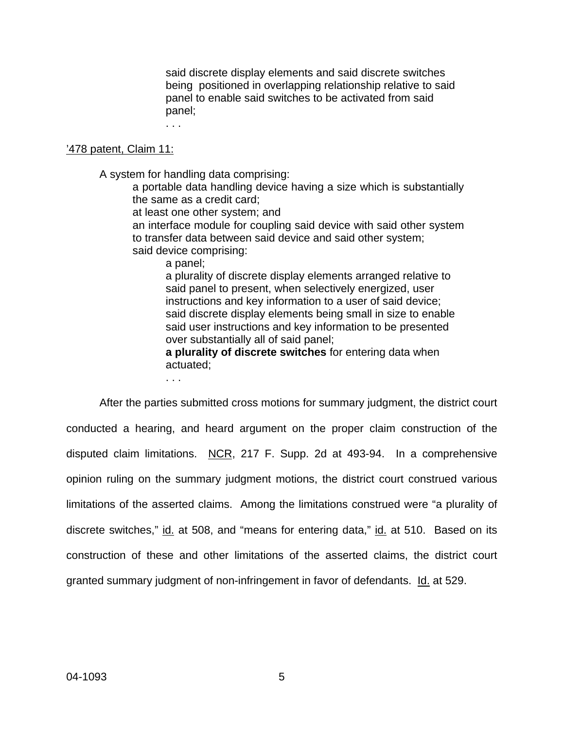said discrete display elements and said discrete switches being positioned in overlapping relationship relative to said panel to enable said switches to be activated from said panel;

. . .

#### '478 patent, Claim 11:

A system for handling data comprising:

a portable data handling device having a size which is substantially the same as a credit card;

at least one other system; and

an interface module for coupling said device with said other system to transfer data between said device and said other system; said device comprising:

a panel;

a plurality of discrete display elements arranged relative to said panel to present, when selectively energized, user instructions and key information to a user of said device; said discrete display elements being small in size to enable said user instructions and key information to be presented over substantially all of said panel;

**a plurality of discrete switches** for entering data when actuated;

. . .

After the parties submitted cross motions for summary judgment, the district court conducted a hearing, and heard argument on the proper claim construction of the disputed claim limitations. NCR, 217 F. Supp. 2d at 493-94. In a comprehensive opinion ruling on the summary judgment motions, the district court construed various limitations of the asserted claims. Among the limitations construed were "a plurality of discrete switches," id. at 508, and "means for entering data," id. at 510. Based on its construction of these and other limitations of the asserted claims, the district court granted summary judgment of non-infringement in favor of defendants. Id. at 529.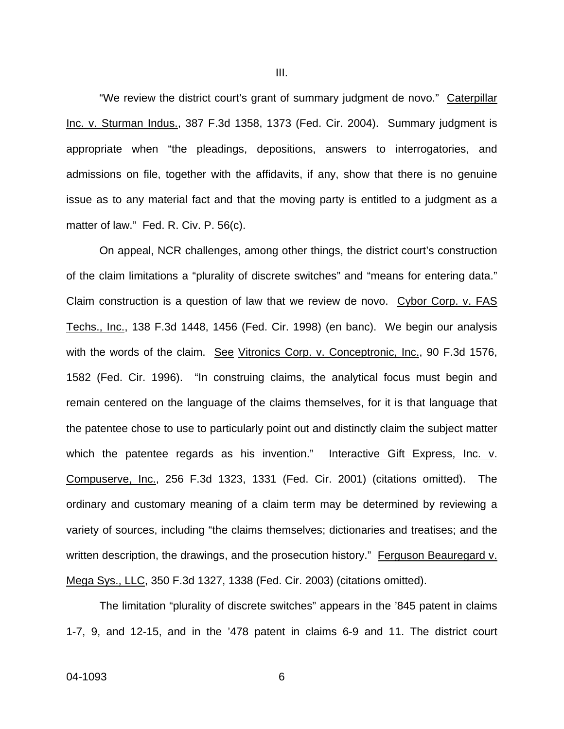"We review the district court's grant of summary judgment de novo." Caterpillar Inc. v. Sturman Indus., 387 F.3d 1358, 1373 (Fed. Cir. 2004). Summary judgment is appropriate when "the pleadings, depositions, answers to interrogatories, and admissions on file, together with the affidavits, if any, show that there is no genuine issue as to any material fact and that the moving party is entitled to a judgment as a matter of law." Fed. R. Civ. P. 56(c).

On appeal, NCR challenges, among other things, the district court's construction of the claim limitations a "plurality of discrete switches" and "means for entering data." Claim construction is a question of law that we review de novo. Cybor Corp. v. FAS Techs., Inc., 138 F.3d 1448, 1456 (Fed. Cir. 1998) (en banc). We begin our analysis with the words of the claim. See Vitronics Corp. v. Conceptronic, Inc., 90 F.3d 1576, 1582 (Fed. Cir. 1996). "In construing claims, the analytical focus must begin and remain centered on the language of the claims themselves, for it is that language that the patentee chose to use to particularly point out and distinctly claim the subject matter which the patentee regards as his invention." Interactive Gift Express, Inc. v. Compuserve, Inc., 256 F.3d 1323, 1331 (Fed. Cir. 2001) (citations omitted). The ordinary and customary meaning of a claim term may be determined by reviewing a variety of sources, including "the claims themselves; dictionaries and treatises; and the written description, the drawings, and the prosecution history." Ferguson Beauregard v. Mega Sys., LLC, 350 F.3d 1327, 1338 (Fed. Cir. 2003) (citations omitted).

The limitation "plurality of discrete switches" appears in the '845 patent in claims 1-7, 9, and 12-15, and in the '478 patent in claims 6-9 and 11. The district court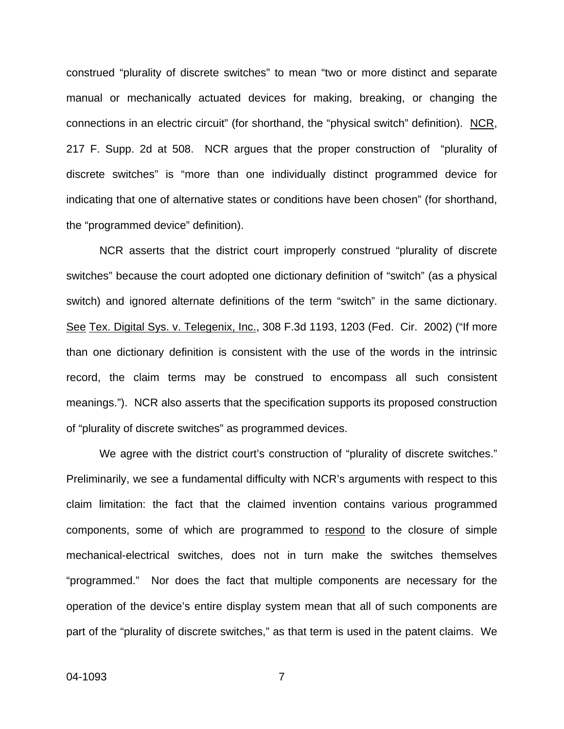construed "plurality of discrete switches" to mean "two or more distinct and separate manual or mechanically actuated devices for making, breaking, or changing the connections in an electric circuit" (for shorthand, the "physical switch" definition). NCR, 217 F. Supp. 2d at 508. NCR argues that the proper construction of "plurality of discrete switches" is "more than one individually distinct programmed device for indicating that one of alternative states or conditions have been chosen" (for shorthand, the "programmed device" definition).

NCR asserts that the district court improperly construed "plurality of discrete switches" because the court adopted one dictionary definition of "switch" (as a physical switch) and ignored alternate definitions of the term "switch" in the same dictionary. See Tex. Digital Sys. v. Telegenix, Inc., 308 F.3d 1193, 1203 (Fed. Cir. 2002) ("If more than one dictionary definition is consistent with the use of the words in the intrinsic record, the claim terms may be construed to encompass all such consistent meanings."). NCR also asserts that the specification supports its proposed construction of "plurality of discrete switches" as programmed devices.

We agree with the district court's construction of "plurality of discrete switches." Preliminarily, we see a fundamental difficulty with NCR's arguments with respect to this claim limitation: the fact that the claimed invention contains various programmed components, some of which are programmed to respond to the closure of simple mechanical-electrical switches, does not in turn make the switches themselves "programmed." Nor does the fact that multiple components are necessary for the operation of the device's entire display system mean that all of such components are part of the "plurality of discrete switches," as that term is used in the patent claims. We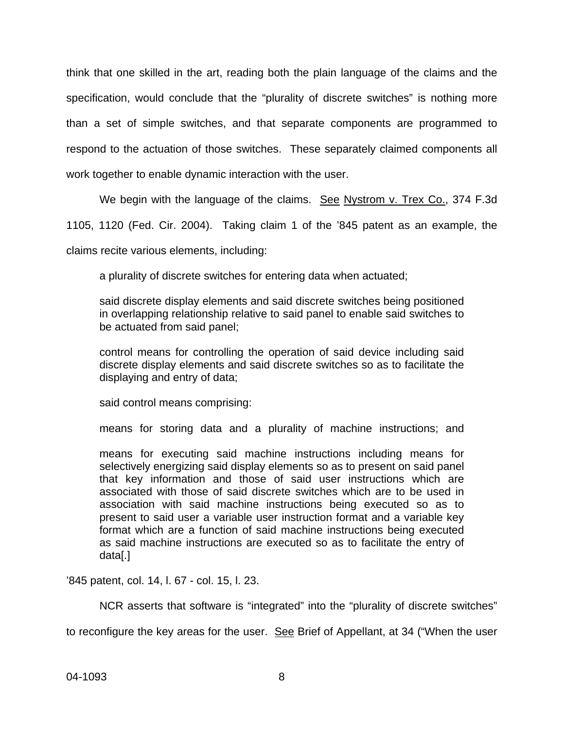think that one skilled in the art, reading both the plain language of the claims and the specification, would conclude that the "plurality of discrete switches" is nothing more than a set of simple switches, and that separate components are programmed to respond to the actuation of those switches. These separately claimed components all work together to enable dynamic interaction with the user.

We begin with the language of the claims. See Nystrom v. Trex Co., 374 F.3d

1105, 1120 (Fed. Cir. 2004). Taking claim 1 of the '845 patent as an example, the

claims recite various elements, including:

a plurality of discrete switches for entering data when actuated;

said discrete display elements and said discrete switches being positioned in overlapping relationship relative to said panel to enable said switches to be actuated from said panel;

control means for controlling the operation of said device including said discrete display elements and said discrete switches so as to facilitate the displaying and entry of data;

said control means comprising:

means for storing data and a plurality of machine instructions; and

means for executing said machine instructions including means for selectively energizing said display elements so as to present on said panel that key information and those of said user instructions which are associated with those of said discrete switches which are to be used in association with said machine instructions being executed so as to present to said user a variable user instruction format and a variable key format which are a function of said machine instructions being executed as said machine instructions are executed so as to facilitate the entry of data[.]

'845 patent, col. 14, l. 67 - col. 15, l. 23.

NCR asserts that software is "integrated" into the "plurality of discrete switches"

to reconfigure the key areas for the user. See Brief of Appellant, at 34 ("When the user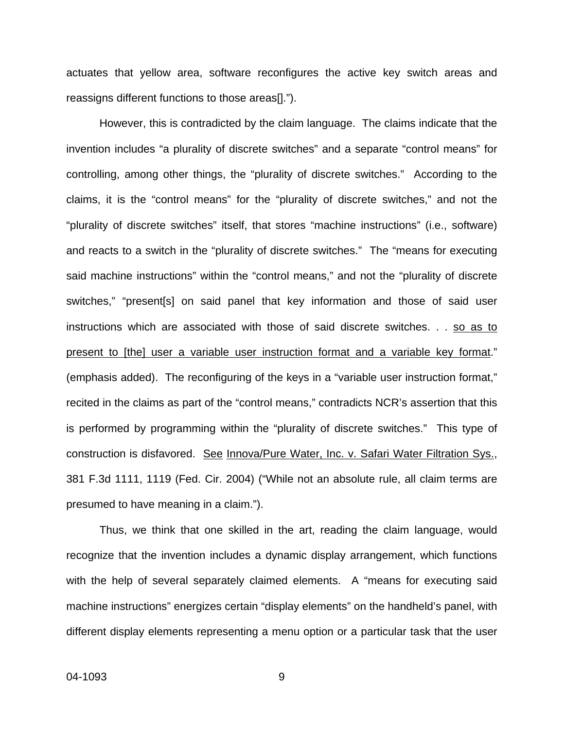actuates that yellow area, software reconfigures the active key switch areas and reassigns different functions to those areas[].").

However, this is contradicted by the claim language. The claims indicate that the invention includes "a plurality of discrete switches" and a separate "control means" for controlling, among other things, the "plurality of discrete switches." According to the claims, it is the "control means" for the "plurality of discrete switches," and not the "plurality of discrete switches" itself, that stores "machine instructions" (i.e., software) and reacts to a switch in the "plurality of discrete switches." The "means for executing said machine instructions" within the "control means," and not the "plurality of discrete switches," "present[s] on said panel that key information and those of said user instructions which are associated with those of said discrete switches. . . so as to present to [the] user a variable user instruction format and a variable key format." (emphasis added). The reconfiguring of the keys in a "variable user instruction format," recited in the claims as part of the "control means," contradicts NCR's assertion that this is performed by programming within the "plurality of discrete switches." This type of construction is disfavored. See Innova/Pure Water, Inc. v. Safari Water Filtration Sys., 381 F.3d 1111, 1119 (Fed. Cir. 2004) ("While not an absolute rule, all claim terms are presumed to have meaning in a claim.").

Thus, we think that one skilled in the art, reading the claim language, would recognize that the invention includes a dynamic display arrangement, which functions with the help of several separately claimed elements. A "means for executing said machine instructions" energizes certain "display elements" on the handheld's panel, with different display elements representing a menu option or a particular task that the user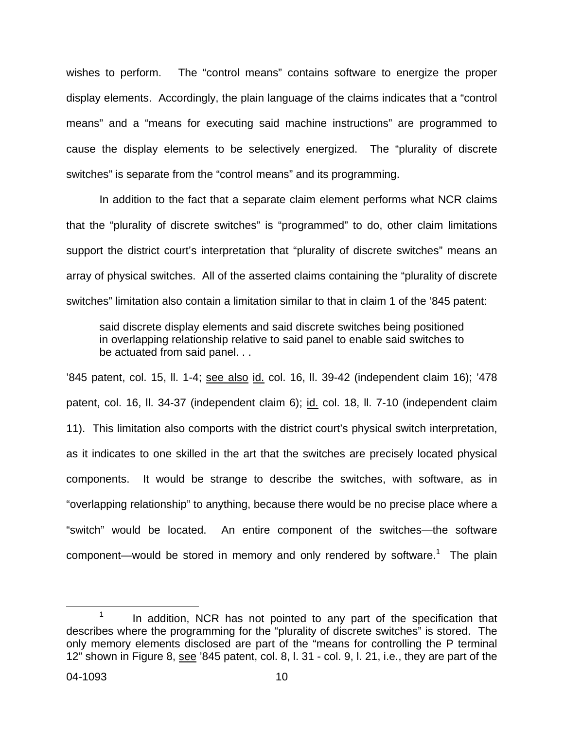wishes to perform. The "control means" contains software to energize the proper display elements. Accordingly, the plain language of the claims indicates that a "control means" and a "means for executing said machine instructions" are programmed to cause the display elements to be selectively energized. The "plurality of discrete switches" is separate from the "control means" and its programming.

In addition to the fact that a separate claim element performs what NCR claims that the "plurality of discrete switches" is "programmed" to do, other claim limitations support the district court's interpretation that "plurality of discrete switches" means an array of physical switches. All of the asserted claims containing the "plurality of discrete switches" limitation also contain a limitation similar to that in claim 1 of the '845 patent:

said discrete display elements and said discrete switches being positioned in overlapping relationship relative to said panel to enable said switches to be actuated from said panel. . .

'845 patent, col. 15, ll. 1-4; see also id. col. 16, ll. 39-42 (independent claim 16); '478 patent, col. 16, II. 34-37 (independent claim 6); id. col. 18, II. 7-10 (independent claim 11). This limitation also comports with the district court's physical switch interpretation, as it indicates to one skilled in the art that the switches are precisely located physical components. It would be strange to describe the switches, with software, as in "overlapping relationship" to anything, because there would be no precise place where a "switch" would be located. An entire component of the switches—the software component—would be stored in memory and only rendered by software.<sup>[1](#page-9-0)</sup> The plain

<span id="page-9-0"></span> $1$  In addition, NCR has not pointed to any part of the specification that describes where the programming for the "plurality of discrete switches" is stored. The only memory elements disclosed are part of the "means for controlling the P terminal 12" shown in Figure 8, see '845 patent, col. 8, l. 31 - col. 9, l. 21, i.e., they are part of the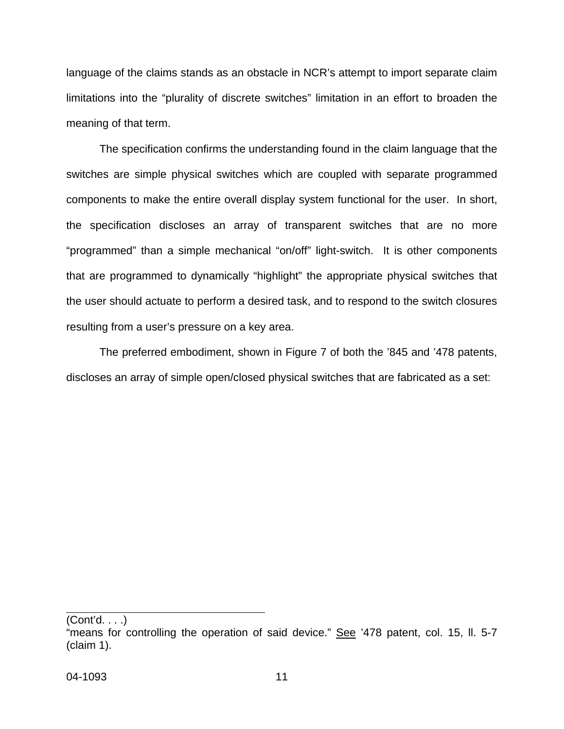language of the claims stands as an obstacle in NCR's attempt to import separate claim limitations into the "plurality of discrete switches" limitation in an effort to broaden the meaning of that term.

The specification confirms the understanding found in the claim language that the switches are simple physical switches which are coupled with separate programmed components to make the entire overall display system functional for the user. In short, the specification discloses an array of transparent switches that are no more "programmed" than a simple mechanical "on/off" light-switch. It is other components that are programmed to dynamically "highlight" the appropriate physical switches that the user should actuate to perform a desired task, and to respond to the switch closures resulting from a user's pressure on a key area.

The preferred embodiment, shown in Figure 7 of both the '845 and '478 patents, discloses an array of simple open/closed physical switches that are fabricated as a set:

(Cont'd. . . .)

<sup>&</sup>quot;means for controlling the operation of said device." See '478 patent, col. 15, II. 5-7 (claim 1).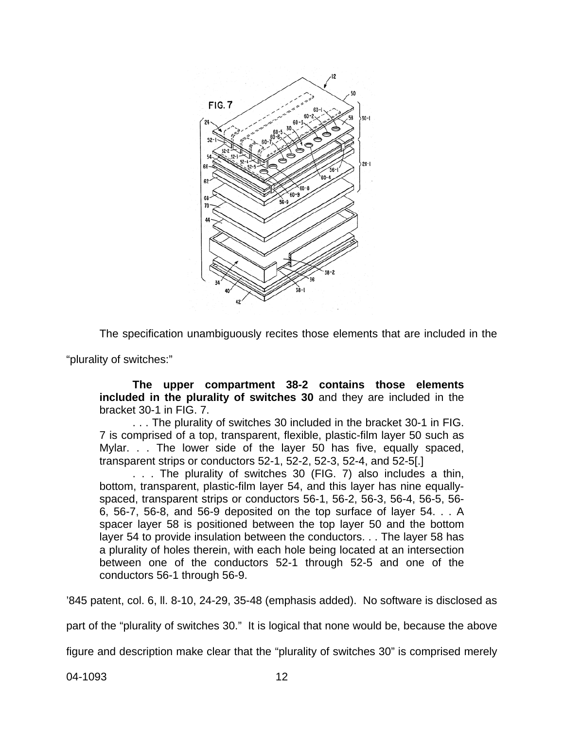

The specification unambiguously recites those elements that are included in the

"plurality of switches:"

**The upper compartment 38-2 contains those elements included in the plurality of switches 30** and they are included in the bracket 30-1 in FIG. 7.

. . . The plurality of switches 30 included in the bracket 30-1 in FIG. 7 is comprised of a top, transparent, flexible, plastic-film layer 50 such as Mylar. . . The lower side of the layer 50 has five, equally spaced, transparent strips or conductors 52-1, 52-2, 52-3, 52-4, and 52-5[.]

. . . The plurality of switches 30 (FIG. 7) also includes a thin, bottom, transparent, plastic-film layer 54, and this layer has nine equallyspaced, transparent strips or conductors 56-1, 56-2, 56-3, 56-4, 56-5, 56- 6, 56-7, 56-8, and 56-9 deposited on the top surface of layer 54. . . A spacer layer 58 is positioned between the top layer 50 and the bottom layer 54 to provide insulation between the conductors. . . The layer 58 has a plurality of holes therein, with each hole being located at an intersection between one of the conductors 52-1 through 52-5 and one of the conductors 56-1 through 56-9.

'845 patent, col. 6, ll. 8-10, 24-29, 35-48 (emphasis added). No software is disclosed as

part of the "plurality of switches 30." It is logical that none would be, because the above

figure and description make clear that the "plurality of switches 30" is comprised merely

04-1093 12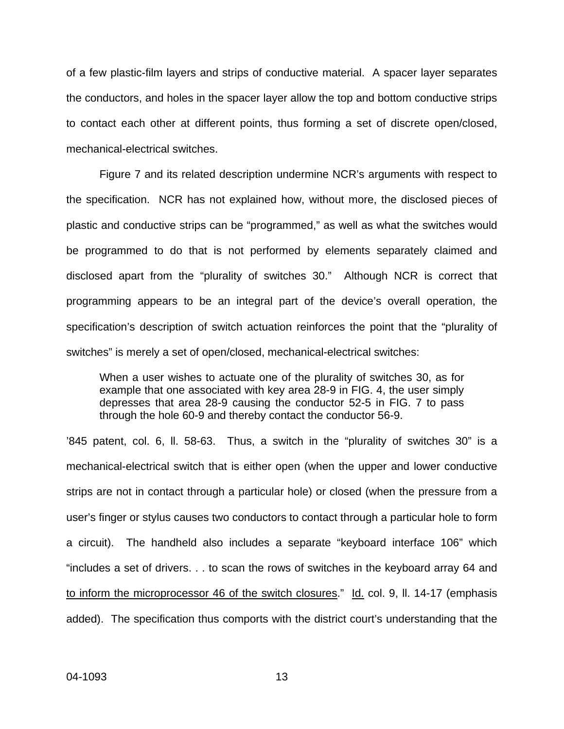of a few plastic-film layers and strips of conductive material. A spacer layer separates the conductors, and holes in the spacer layer allow the top and bottom conductive strips to contact each other at different points, thus forming a set of discrete open/closed, mechanical-electrical switches.

Figure 7 and its related description undermine NCR's arguments with respect to the specification. NCR has not explained how, without more, the disclosed pieces of plastic and conductive strips can be "programmed," as well as what the switches would be programmed to do that is not performed by elements separately claimed and disclosed apart from the "plurality of switches 30." Although NCR is correct that programming appears to be an integral part of the device's overall operation, the specification's description of switch actuation reinforces the point that the "plurality of switches" is merely a set of open/closed, mechanical-electrical switches:

When a user wishes to actuate one of the plurality of switches 30, as for example that one associated with key area 28-9 in FIG. 4, the user simply depresses that area 28-9 causing the conductor 52-5 in FIG. 7 to pass through the hole 60-9 and thereby contact the conductor 56-9.

'845 patent, col. 6, ll. 58-63. Thus, a switch in the "plurality of switches 30" is a mechanical-electrical switch that is either open (when the upper and lower conductive strips are not in contact through a particular hole) or closed (when the pressure from a user's finger or stylus causes two conductors to contact through a particular hole to form a circuit). The handheld also includes a separate "keyboard interface 106" which "includes a set of drivers. . . to scan the rows of switches in the keyboard array 64 and to inform the microprocessor 46 of the switch closures." Id. col. 9, II. 14-17 (emphasis added). The specification thus comports with the district court's understanding that the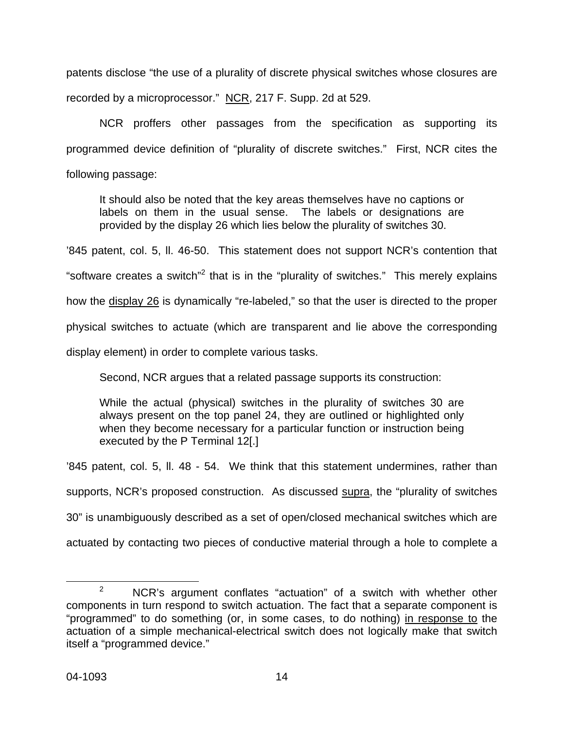patents disclose "the use of a plurality of discrete physical switches whose closures are recorded by a microprocessor." NCR, 217 F. Supp. 2d at 529.

NCR proffers other passages from the specification as supporting its programmed device definition of "plurality of discrete switches." First, NCR cites the following passage:

It should also be noted that the key areas themselves have no captions or labels on them in the usual sense. The labels or designations are provided by the display 26 which lies below the plurality of switches 30.

'845 patent, col. 5, ll. 46-50. This statement does not support NCR's contention that

"software creates a switch"<sup>[2](#page-13-0)</sup> that is in the "plurality of switches." This merely explains

how the display 26 is dynamically "re-labeled," so that the user is directed to the proper

physical switches to actuate (which are transparent and lie above the corresponding

display element) in order to complete various tasks.

Second, NCR argues that a related passage supports its construction:

While the actual (physical) switches in the plurality of switches 30 are always present on the top panel 24, they are outlined or highlighted only when they become necessary for a particular function or instruction being executed by the P Terminal 12[.]

'845 patent, col. 5, ll. 48 - 54. We think that this statement undermines, rather than supports, NCR's proposed construction. As discussed supra, the "plurality of switches 30" is unambiguously described as a set of open/closed mechanical switches which are actuated by contacting two pieces of conductive material through a hole to complete a

<span id="page-13-0"></span> $2^2$  NCR's argument conflates "actuation" of a switch with whether other components in turn respond to switch actuation. The fact that a separate component is "programmed" to do something (or, in some cases, to do nothing) in response to the actuation of a simple mechanical-electrical switch does not logically make that switch itself a "programmed device."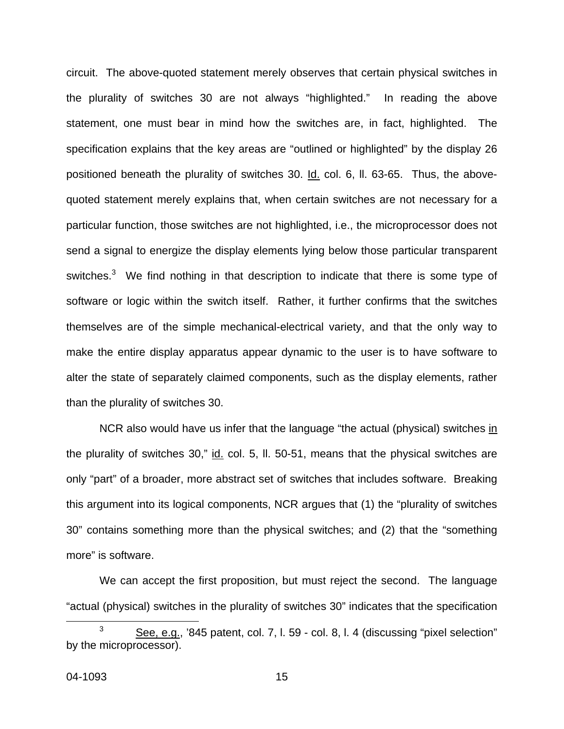circuit. The above-quoted statement merely observes that certain physical switches in the plurality of switches 30 are not always "highlighted." In reading the above statement, one must bear in mind how the switches are, in fact, highlighted. The specification explains that the key areas are "outlined or highlighted" by the display 26 positioned beneath the plurality of switches 30. Id. col. 6, ll. 63-65. Thus, the abovequoted statement merely explains that, when certain switches are not necessary for a particular function, those switches are not highlighted, i.e., the microprocessor does not send a signal to energize the display elements lying below those particular transparent switches.<sup>[3](#page-14-0)</sup> We find nothing in that description to indicate that there is some type of software or logic within the switch itself. Rather, it further confirms that the switches themselves are of the simple mechanical-electrical variety, and that the only way to make the entire display apparatus appear dynamic to the user is to have software to alter the state of separately claimed components, such as the display elements, rather than the plurality of switches 30.

NCR also would have us infer that the language "the actual (physical) switches in the plurality of switches 30," id. col. 5, II. 50-51, means that the physical switches are only "part" of a broader, more abstract set of switches that includes software. Breaking this argument into its logical components, NCR argues that (1) the "plurality of switches 30" contains something more than the physical switches; and (2) that the "something more" is software.

We can accept the first proposition, but must reject the second. The language "actual (physical) switches in the plurality of switches 30" indicates that the specification

<span id="page-14-0"></span> $\overline{\phantom{a}}$  3  $3 \qquad$  See, e.g., '845 patent, col. 7, l. 59 - col. 8, l. 4 (discussing "pixel selection" by the microprocessor).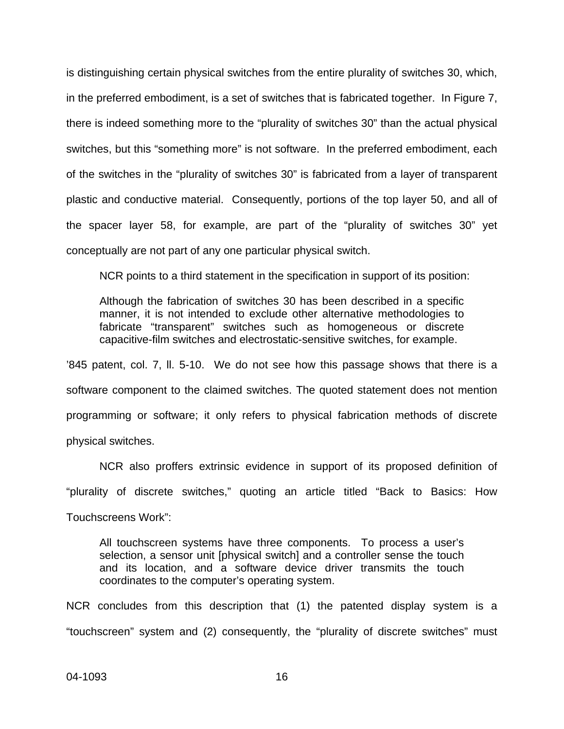is distinguishing certain physical switches from the entire plurality of switches 30, which, in the preferred embodiment, is a set of switches that is fabricated together. In Figure 7, there is indeed something more to the "plurality of switches 30" than the actual physical switches, but this "something more" is not software. In the preferred embodiment, each of the switches in the "plurality of switches 30" is fabricated from a layer of transparent plastic and conductive material. Consequently, portions of the top layer 50, and all of the spacer layer 58, for example, are part of the "plurality of switches 30" yet conceptually are not part of any one particular physical switch.

NCR points to a third statement in the specification in support of its position:

Although the fabrication of switches 30 has been described in a specific manner, it is not intended to exclude other alternative methodologies to fabricate "transparent" switches such as homogeneous or discrete capacitive-film switches and electrostatic-sensitive switches, for example.

'845 patent, col. 7, ll. 5-10. We do not see how this passage shows that there is a software component to the claimed switches. The quoted statement does not mention programming or software; it only refers to physical fabrication methods of discrete physical switches.

NCR also proffers extrinsic evidence in support of its proposed definition of "plurality of discrete switches," quoting an article titled "Back to Basics: How Touchscreens Work":

All touchscreen systems have three components. To process a user's selection, a sensor unit [physical switch] and a controller sense the touch and its location, and a software device driver transmits the touch coordinates to the computer's operating system.

NCR concludes from this description that (1) the patented display system is a "touchscreen" system and (2) consequently, the "plurality of discrete switches" must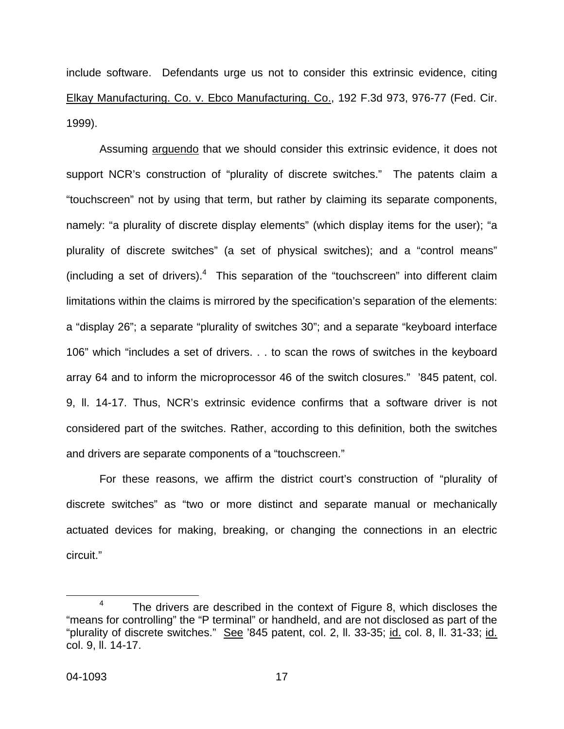include software. Defendants urge us not to consider this extrinsic evidence, citing Elkay Manufacturing. Co. v. Ebco Manufacturing. Co., 192 F.3d 973, 976-77 (Fed. Cir. 1999).

 Assuming arguendo that we should consider this extrinsic evidence, it does not support NCR's construction of "plurality of discrete switches." The patents claim a "touchscreen" not by using that term, but rather by claiming its separate components, namely: "a plurality of discrete display elements" (which display items for the user); "a plurality of discrete switches" (a set of physical switches); and a "control means" (including a set of drivers). $4$  This separation of the "touchscreen" into different claim limitations within the claims is mirrored by the specification's separation of the elements: a "display 26"; a separate "plurality of switches 30"; and a separate "keyboard interface 106" which "includes a set of drivers. . . to scan the rows of switches in the keyboard array 64 and to inform the microprocessor 46 of the switch closures." '845 patent, col. 9, ll. 14-17. Thus, NCR's extrinsic evidence confirms that a software driver is not considered part of the switches. Rather, according to this definition, both the switches and drivers are separate components of a "touchscreen."

For these reasons, we affirm the district court's construction of "plurality of discrete switches" as "two or more distinct and separate manual or mechanically actuated devices for making, breaking, or changing the connections in an electric circuit."

<span id="page-16-0"></span> $4$  The drivers are described in the context of Figure 8, which discloses the "means for controlling" the "P terminal" or handheld, and are not disclosed as part of the "plurality of discrete switches." See '845 patent, col. 2, II. 33-35; id. col. 8, II. 31-33; id. col. 9, ll. 14-17.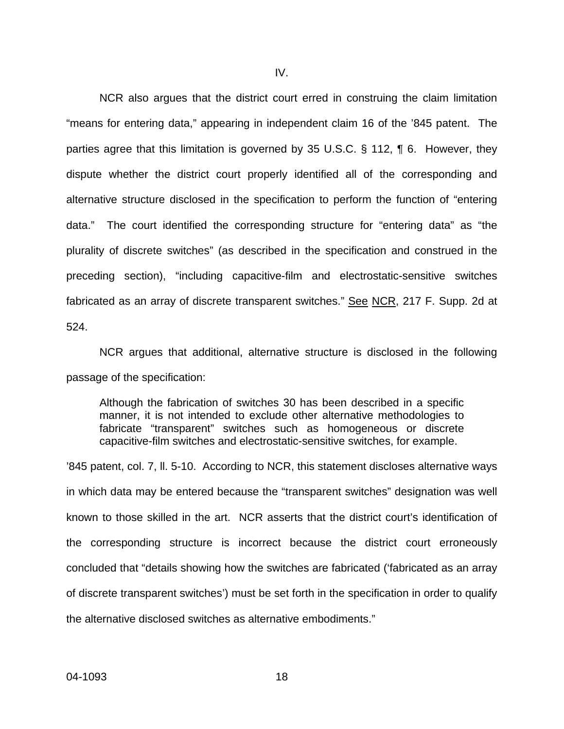NCR also argues that the district court erred in construing the claim limitation "means for entering data," appearing in independent claim 16 of the '845 patent. The parties agree that this limitation is governed by 35 U.S.C. § 112, ¶ 6. However, they dispute whether the district court properly identified all of the corresponding and alternative structure disclosed in the specification to perform the function of "entering data." The court identified the corresponding structure for "entering data" as "the plurality of discrete switches" (as described in the specification and construed in the preceding section), "including capacitive-film and electrostatic-sensitive switches fabricated as an array of discrete transparent switches." See NCR, 217 F. Supp. 2d at 524.

NCR argues that additional, alternative structure is disclosed in the following passage of the specification:

Although the fabrication of switches 30 has been described in a specific manner, it is not intended to exclude other alternative methodologies to fabricate "transparent" switches such as homogeneous or discrete capacitive-film switches and electrostatic-sensitive switches, for example.

'845 patent, col. 7, ll. 5-10. According to NCR, this statement discloses alternative ways in which data may be entered because the "transparent switches" designation was well known to those skilled in the art. NCR asserts that the district court's identification of the corresponding structure is incorrect because the district court erroneously concluded that "details showing how the switches are fabricated ('fabricated as an array of discrete transparent switches') must be set forth in the specification in order to qualify the alternative disclosed switches as alternative embodiments."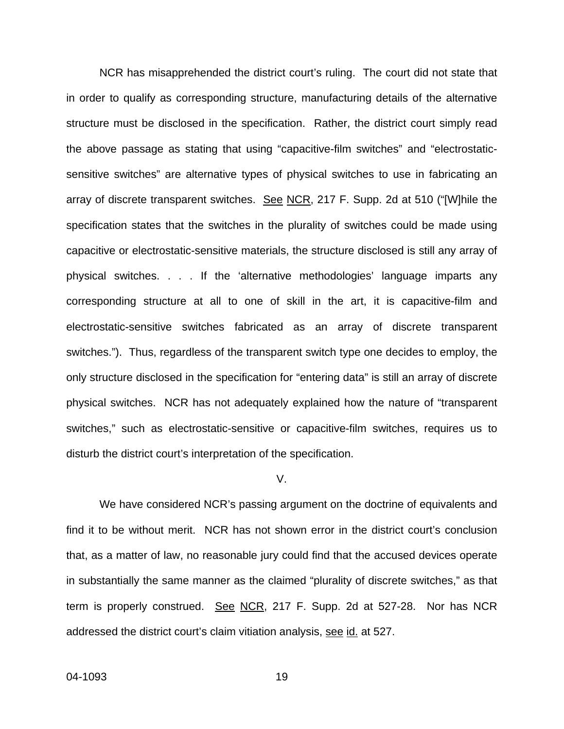NCR has misapprehended the district court's ruling. The court did not state that in order to qualify as corresponding structure, manufacturing details of the alternative structure must be disclosed in the specification. Rather, the district court simply read the above passage as stating that using "capacitive-film switches" and "electrostaticsensitive switches" are alternative types of physical switches to use in fabricating an array of discrete transparent switches. See NCR, 217 F. Supp. 2d at 510 ("[W]hile the specification states that the switches in the plurality of switches could be made using capacitive or electrostatic-sensitive materials, the structure disclosed is still any array of physical switches. . . . If the 'alternative methodologies' language imparts any corresponding structure at all to one of skill in the art, it is capacitive-film and electrostatic-sensitive switches fabricated as an array of discrete transparent switches."). Thus, regardless of the transparent switch type one decides to employ, the only structure disclosed in the specification for "entering data" is still an array of discrete physical switches. NCR has not adequately explained how the nature of "transparent switches," such as electrostatic-sensitive or capacitive-film switches, requires us to disturb the district court's interpretation of the specification.

### V.

We have considered NCR's passing argument on the doctrine of equivalents and find it to be without merit. NCR has not shown error in the district court's conclusion that, as a matter of law, no reasonable jury could find that the accused devices operate in substantially the same manner as the claimed "plurality of discrete switches," as that term is properly construed. See NCR, 217 F. Supp. 2d at 527-28. Nor has NCR addressed the district court's claim vitiation analysis, see id. at 527.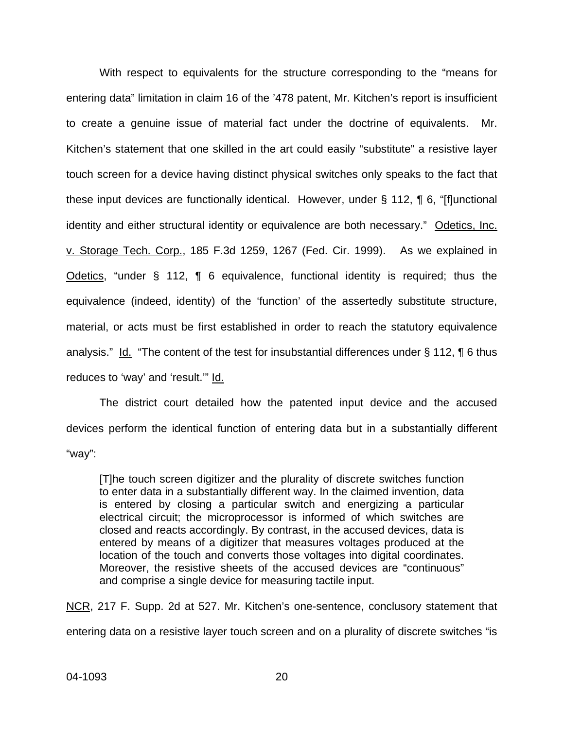With respect to equivalents for the structure corresponding to the "means for entering data" limitation in claim 16 of the '478 patent, Mr. Kitchen's report is insufficient to create a genuine issue of material fact under the doctrine of equivalents. Mr. Kitchen's statement that one skilled in the art could easily "substitute" a resistive layer touch screen for a device having distinct physical switches only speaks to the fact that these input devices are functionally identical. However, under § 112, ¶ 6, "[f]unctional identity and either structural identity or equivalence are both necessary." Odetics, Inc. v. Storage Tech. Corp., 185 F.3d 1259, 1267 (Fed. Cir. 1999). As we explained in Odetics, "under § 112, ¶ 6 equivalence, functional identity is required; thus the equivalence (indeed, identity) of the 'function' of the assertedly substitute structure, material, or acts must be first established in order to reach the statutory equivalence analysis." Id. "The content of the test for insubstantial differences under § 112, ¶ 6 thus reduces to 'way' and 'result.'" Id.

The district court detailed how the patented input device and the accused devices perform the identical function of entering data but in a substantially different "way":

[T]he touch screen digitizer and the plurality of discrete switches function to enter data in a substantially different way. In the claimed invention, data is entered by closing a particular switch and energizing a particular electrical circuit; the microprocessor is informed of which switches are closed and reacts accordingly. By contrast, in the accused devices, data is entered by means of a digitizer that measures voltages produced at the location of the touch and converts those voltages into digital coordinates. Moreover, the resistive sheets of the accused devices are "continuous" and comprise a single device for measuring tactile input.

NCR, 217 F. Supp. 2d at 527. Mr. Kitchen's one-sentence, conclusory statement that entering data on a resistive layer touch screen and on a plurality of discrete switches "is